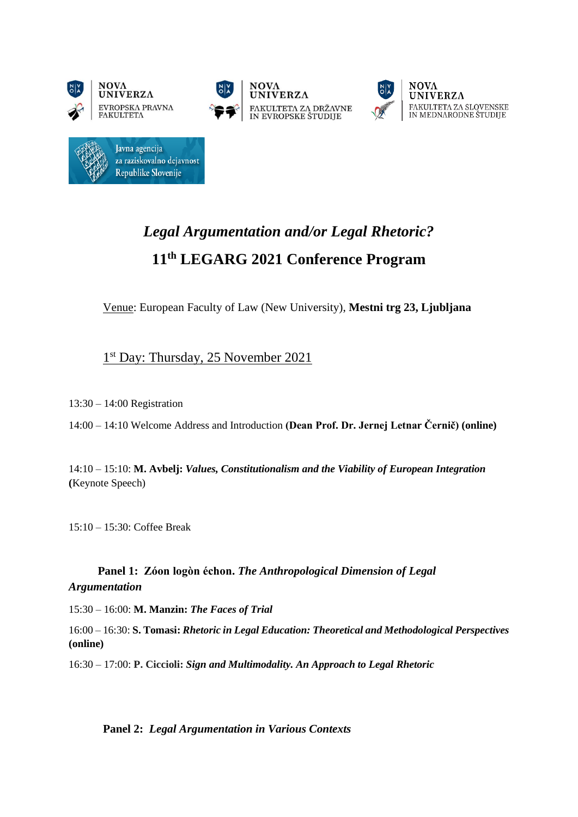





 $NOVA$ 

## *Legal Argumentation and/or Legal Rhetoric?* **11th LEGARG 2021 Conference Program**

Venue: European Faculty of Law (New University), **Mestni trg 23, Ljubljana**

## 1<sup>st</sup> Day: Thursday, 25 November 2021

13:30 – 14:00 Registration

14:00 – 14:10 Welcome Address and Introduction **(Dean Prof. Dr. Jernej Letnar Černič) (online)**

14:10 – 15:10: **M. Avbelj:** *Values, Constitutionalism and the Viability of European Integration* **(**Keynote Speech)

15:10 – 15:30: Coffee Break

 **Panel 1: Zóon logòn échon.** *The Anthropological Dimension of Legal Argumentation*

15:30 – 16:00: **M. Manzin:** *The Faces of Trial*

16:00 – 16:30: **S. Tomasi:** *Rhetoric in Legal Education: Theoretical and Methodological Perspectives* **(online)**

16:30 – 17:00: **P. Ciccioli:** *Sign and Multimodality. An Approach to Legal Rhetoric*

**Panel 2:** *Legal Argumentation in Various Contexts*